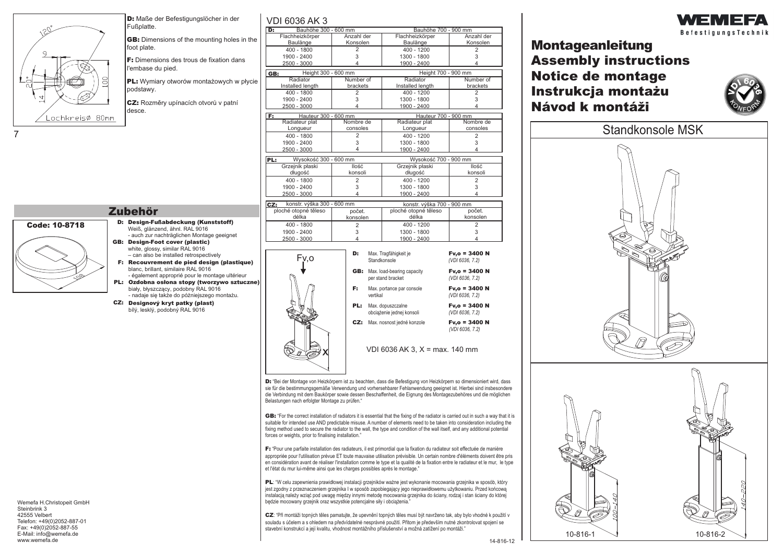$\sim 20$ Lochkreisø 80mm

**D:** Maße der Befestigungslöcher in der Fußplatte.

**GB:** Dimensions of the mounting holes in foot plate.

VDI 6036 AK 3

**F:** Dimensions des trous de fixation dans l'embase du pied.

**PL:** Wymiary otworów montażowych w p podstawy.

**CZ:** Rozmìry upínacích otvorù v patní desce.

7

|               | Bauhöhe 300 - 600 mm<br>D:        |                            |                                       | Bauhöhe 700 - 900 mm           |                         |
|---------------|-----------------------------------|----------------------------|---------------------------------------|--------------------------------|-------------------------|
| the           | Flachheizkörper                   | Anzahl der                 |                                       | Flachheizkörper                | Anzahl der              |
|               | Baulänge                          | Konsolen                   |                                       | Baulänge                       | Konsolen                |
|               | 400 - 1800<br>1900 - 2400         | 2<br>3                     |                                       | 400 - 1200<br>1300 - 1800      | 2<br>3                  |
|               | 2500 - 3000                       | 4                          |                                       | 1900 - 2400                    | 4                       |
|               | Height 300 - 600 mm<br>GB:        |                            |                                       | Height 700 - 900 mm            |                         |
|               | Radiator                          | Number of                  |                                       | Radiator                       | Number of               |
| łycie         | Installed length                  | brackets                   |                                       | Installed length               | brackets                |
|               | $400 - 1800$                      | $\overline{2}$             |                                       | $400 - 1200$                   | $\overline{2}$          |
|               | 1900 - 2400                       | 3                          |                                       | 1300 - 1800                    | 3                       |
|               | 2500 - 3000                       | 4                          |                                       | 1900 - 2400                    | $\overline{\mathbf{A}}$ |
|               | Hauteur 300 - 600 mm<br>F:        |                            |                                       | Hauteur 700 - 900 mm           |                         |
|               | Radiateur plat                    | Nombre de<br>consoles      |                                       | Radiateur plat                 | Nombre de<br>consoles   |
|               | Longueur<br>400 - 1800            | 2                          |                                       | Longueur<br>400 - 1200         | $\overline{2}$          |
|               | 1900 - 2400                       | 3                          |                                       | 1300 - 1800                    | 3                       |
|               | 2500 - 3000                       | 4                          |                                       | 1900 - 2400                    | 4                       |
|               | PL:                               | Wysokość 300 - 600 mm      |                                       | Wysokość 700 - 900 mm          |                         |
|               | Grzejnik płaski                   | <b>Ilość</b>               |                                       | Grzejnik płaski                | <b>llość</b>            |
|               | długość                           | konsoli                    |                                       | długość                        | konsoli                 |
|               | 400 - 1800                        | $\overline{2}$             |                                       | 400 - 1200                     | $\overline{2}$          |
|               | 1900 - 2400                       | 3                          |                                       | 1300 - 1800                    | 3                       |
|               | 2500 - 3000                       | 4                          |                                       | 1900 - 2400                    | 4                       |
|               | konstr. výška 300 - 600 mm<br>CZ: |                            |                                       | konstr. výška 700 - 900 mm     |                         |
|               | ploché otopné těleso              | počet.                     |                                       | ploché otopné těleso           | počet.                  |
|               | délka                             | konsolen<br>$\overline{2}$ |                                       | délka                          | konsolen                |
|               | 400 - 1800<br>1900 - 2400         | 3                          |                                       | 400 - 1200<br>1300 - 1800      | $\overline{2}$<br>3     |
|               | 2500 - 3000                       | 4                          |                                       | 1900 - 2400                    | 4                       |
|               |                                   |                            |                                       |                                |                         |
|               | D:                                |                            |                                       | Max. Tragfähigkeit je          | Fv,o = 3400 N           |
| ue)           | Fv.o                              |                            |                                       | Standkonsole                   | (VDI 6036, 7.2)         |
|               |                                   |                            | <b>GB:</b> Max. load-bearing capacity | $Fv, o = 3400 N$               |                         |
|               |                                   |                            | per stand bracket                     | (VDI 6036, 7.2)                |                         |
| <b>czne</b> ) |                                   | F:                         |                                       |                                | $Fv, o = 3400 N$        |
|               |                                   |                            | vertikal                              | Max. portance par console      | (VDI 6036, 7.2)         |
|               |                                   | PL:                        |                                       | Max. dopuszczalne              | $Fv, o = 3400 N$        |
|               |                                   |                            |                                       | obciążenie jednej konsoli      | (VDI 6036, 7.2)         |
|               |                                   | CZ:                        |                                       | Max. nosnost jedné konzole     | $Fv, o = 3400 N$        |
|               |                                   |                            |                                       |                                | (VDI 6036, 7.2)         |
|               |                                   |                            |                                       |                                |                         |
|               |                                   |                            |                                       | VDI 6036 AK 3, X = max. 140 mm |                         |
|               |                                   |                            |                                       |                                |                         |
|               |                                   |                            |                                       |                                |                         |
|               |                                   |                            |                                       |                                |                         |

D: "Bei der Montage von Heizkörpern ist zu beachten, dass die Befestigung von Heizkörpern so dimensioniert wird, dass sie für die bestimmungsgemäße Verwendung und vorhersehbarer Fehlanwendung geeignet ist. Hierbei sind insbesondere die Verbindung mit dem Baukörper sowie dessen Beschaffenheit, die Eignung des Montagezubehöres und die möglichen Belastungen nach erfolgter Montage zu prüfen."

**GB:** "For the correct installation of radiators it is essential that the fixing of the radiator is carried out in such a way that it is suitable for intended use AND predictable misuse. A number of elements need to be taken into consideration including the fixing method used to secure the radiator to the wall, the type and condition of the wall itself, and any additional potential forces or weights, prior to finalising installation."

**F:** "Pour une parfaite installation des radiateurs, il est primordial que la fixation du radiateur soit effectuée de manière appropriée pour l'utilisation prévue ET toute mauvaise utilisation prévisible. Un certain nombre d'éléments doivent être pris en considération avant de réaliser l'installation comme le type et la qualité de la fixation entre le radiateur et le mur, le type et l'état du mur lui-même ainsi que les charges possibles après le montage."

PL: "W celu zapewnienia prawidłowej instalacji grzejników ważne jest wykonanie mocowania grzejnika w sposób, który jest zgodny z przeznaczeniem grzejnika I w sposób zapobiegający jego nieprawidłowemu użytkowaniu. Przed końcowa instalacją należy wziąć pod uwagę między innymi metodę mocowania grzejnika do ściany, rodzaj i stan ściany do której bedzie mocowany grzejnik oraz wszystkie potencialne siły i obciażenia.

CZ: "Při montáži topných těles pamatujte, že upevnění topných těles musí být navrženo tak, aby bylo vhodné k použití v souladu s účelem a s ohledem na předvídatelné nesprávné použití. Přitom je především nutné zkontrolovat spojení se stavební konstrukcí a její kvalitu, vhodnost montážního příslušenství a možná zatížení po montáži."



## **Montageanleitung Assembly instructions Notice de montage Návod k montáži Instrukcja montaýu**





## **Zubehör**

- **Code: 10-8718 Design-Fußabdeckung (Kunststoff) D:** Weiß, glänzend, ähnl. RAL 9016 - auch zur nachträglichen Montage geeignet
	- **GB: Design-Foot cover (plastic)** white, glossy, similar RAL 9016 – can also be installed retrospectively
	- **F: Recouvrement de pied design (plastique)** blanc, brillant, similaire RAL 9016 - également approprié pour le montage ultérieur
	- **PL: Ozdobna os³ona stopy (tworzywo sztuczne)** biały, błyszczący, podobny RAL 9016 - nadaje się także do póżniejszego montażu.
	- **CZ: Designový kryt patky (plast)** bílý, lesklý, podobný RAL 9016

Wemefa H.Christopeit GmbH Steinbrink 3 42555 Velbert Telefon: +49(0)2052-887-01 Fax: +49(0)2052-887-55 E-Mail: info@wemefa.de www.wemefa.de